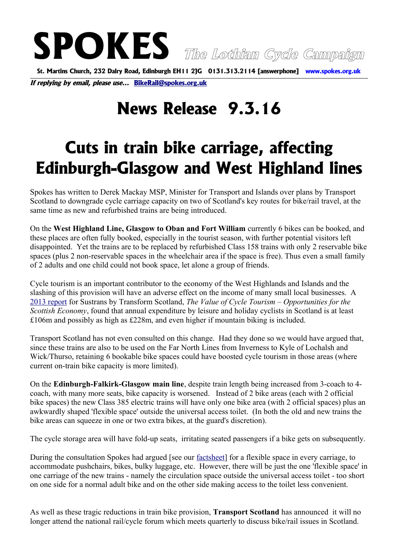**SPOKES The Lothian Cycle Campaign St. Martins Church, 232 Dalry Road, Edinburgh EH11 2JG 0131.313.2114 [answerphone] www.spokes.org.uk**

**If replying by email, please use... [BikeRail@spokes.org.uk](mailto:BikeRail@spokes.org.uk)** 

## **News Release 9.3.16**

## **Cuts in train bike carriage, affecting Edinburgh-Glasgow and West Highland lines**

Spokes has written to Derek Mackay MSP, Minister for Transport and Islands over plans by Transport Scotland to downgrade cycle carriage capacity on two of Scotland's key routes for bike/rail travel, at the same time as new and refurbished trains are being introduced.

On the **West Highland Line, Glasgow to Oban and Fort William** currently 6 bikes can be booked, and these places are often fully booked, especially in the tourist season, with further potential visitors left disappointed. Yet the trains are to be replaced by refurbished Class 158 trains with only 2 reservable bike spaces (plus 2 non-reservable spaces in the wheelchair area if the space is free). Thus even a small family of 2 adults and one child could not book space, let alone a group of friends.

Cycle tourism is an important contributor to the economy of the West Highlands and Islands and the slashing of this provision will have an adverse effect on the income of many small local businesses. A [2013 report](http://transformscotland.org.uk/wp/wp-content/uploads/2014/12/The-Value-of-Cycle-Tourism-full-report.pdf) for Sustrans by Transform Scotland, *The Value of Cycle Tourism – Opportunities for the Scottish Economy*, found that annual expenditure by leisure and holiday cyclists in Scotland is at least £106m and possibly as high as £228m, and even higher if mountain biking is included.

Transport Scotland has not even consulted on this change. Had they done so we would have argued that, since these trains are also to be used on the Far North Lines from Inverness to Kyle of Lochalsh and Wick/Thurso, retaining 6 bookable bike spaces could have boosted cycle tourism in those areas (where current on-train bike capacity is more limited).

On the **Edinburgh-Falkirk-Glasgow main line**, despite train length being increased from 3-coach to 4 coach, with many more seats, bike capacity is worsened. Instead of 2 bike areas (each with 2 official bike spaces) the new Class 385 electric trains will have only one bike area (with 2 official spaces) plus an awkwardly shaped 'flexible space' outside the universal access toilet. (In both the old and new trains the bike areas can squeeze in one or two extra bikes, at the guard's discretion).

The cycle storage area will have fold-up seats, irritating seated passengers if a bike gets on subsequently.

During the consultation Spokes had argued [see our [factsheet\]](http://www.spokes.org.uk/wp-content/uploads/2015/10/1511-04-Flexible-Space-v2-Ewan.pdf) for a flexible space in every carriage, to accommodate pushchairs, bikes, bulky luggage, etc. However, there will be just the one 'flexible space' in one carriage of the new trains - namely the circulation space outside the universal access toilet - too short on one side for a normal adult bike and on the other side making access to the toilet less convenient.

As well as these tragic reductions in train bike provision, **Transport Scotland** has announced it will no longer attend the national rail/cycle forum which meets quarterly to discuss bike/rail issues in Scotland.